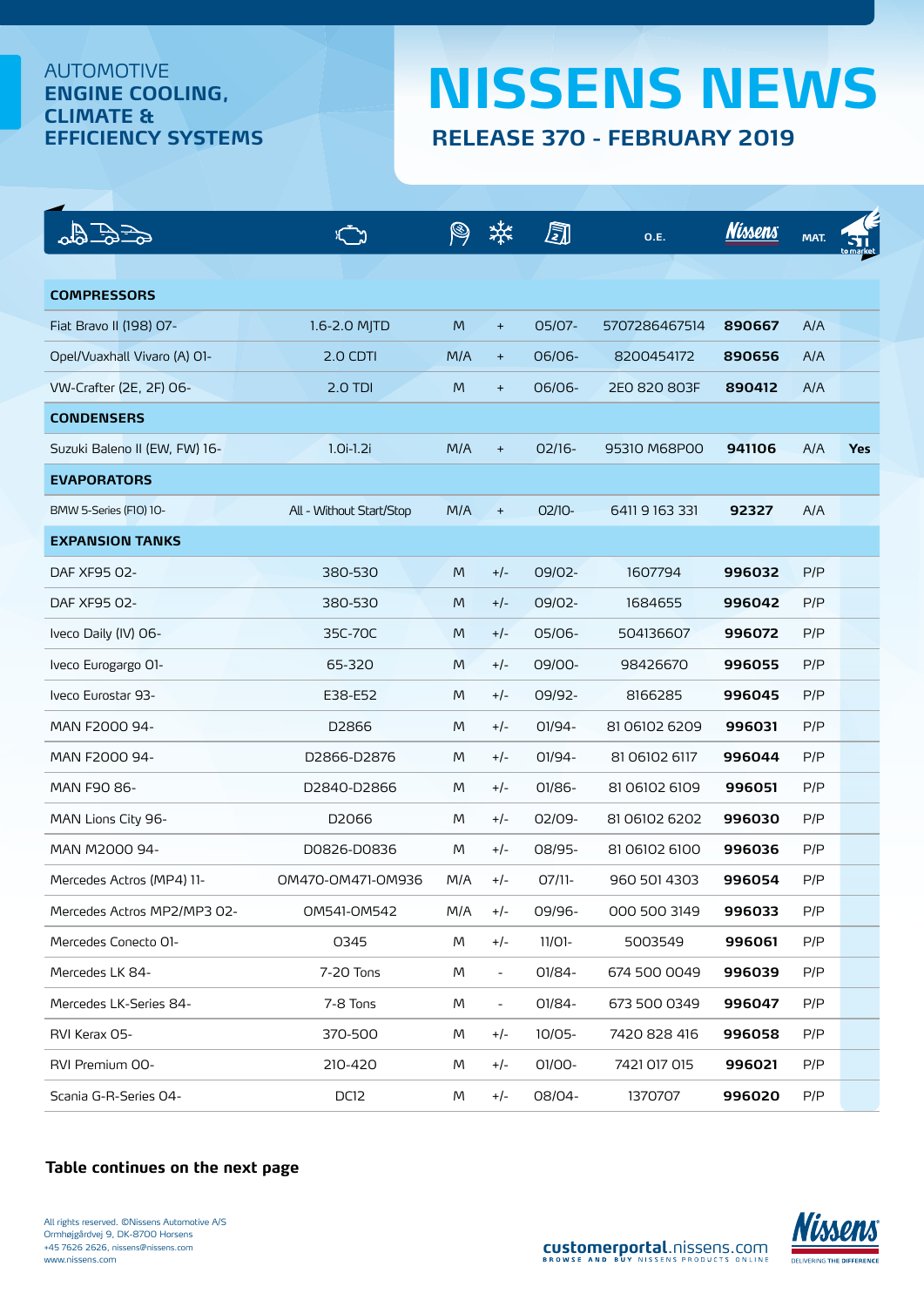## AUTOMOTIVE **ENGINE COOLING, CLIMATE &**

## **EFFICIENCY SYSTEMS RELEASE 370 - FEBRUARY 2019 NISSENS NEWS**

|                               |                          |     |                          | ā         | 0.E.          | <b>Nissens</b> | MAT. |            |
|-------------------------------|--------------------------|-----|--------------------------|-----------|---------------|----------------|------|------------|
|                               |                          |     |                          |           |               |                |      |            |
| <b>COMPRESSORS</b>            |                          |     |                          |           |               |                |      |            |
| Fiat Bravo II (198) 07-       | 1.6-2.0 MJTD             | M   | $+$                      | 05/07-    | 5707286467514 | 890667         | A/A  |            |
| Opel/Vuaxhall Vivaro (A) O1-  | 2.0 CDTI                 | M/A | $+$                      | 06/06-    | 8200454172    | 890656         | A/A  |            |
| VW-Crafter (2E, 2F) 06-       | $2.0$ TDI                | M   | $+$                      | 06/06-    | 2E0 820 803F  | 890412         | A/A  |            |
| <b>CONDENSERS</b>             |                          |     |                          |           |               |                |      |            |
| Suzuki Baleno II (EW, FW) 16- | $1.0i-1.2i$              | M/A | $\ddot{}$                | $02/16-$  | 95310 M68P00  | 941106         | A/A  | <b>Yes</b> |
| <b>EVAPORATORS</b>            |                          |     |                          |           |               |                |      |            |
| BMW 5-Series (FIO) 10-        | All - Without Start/Stop | M/A | $\ddot{}$                | $OZ/10-$  | 64119163331   | 92327          | A/A  |            |
| <b>EXPANSION TANKS</b>        |                          |     |                          |           |               |                |      |            |
| DAF XF95 02-                  | 380-530                  | M   | $+/-$                    | 09/02-    | 1607794       | 996032         | P/P  |            |
| DAF XF95 02-                  | 380-530                  | M   | $+/-$                    | 09/02-    | 1684655       | 996042         | P/P  |            |
| Iveco Daily (IV) 06-          | 35C-70C                  | M   | $+/-$                    | 05/06-    | 504136607     | 996072         | P/P  |            |
| Iveco Eurogargo O1-           | 65-320                   | M   | $+/-$                    | 09/00-    | 98426670      | 996055         | P/P  |            |
| Iveco Eurostar 93-            | E38-E52                  | M   | $+/-$                    | 09/92-    | 8166285       | 996045         | P/P  |            |
| MAN F2000 94-                 | D2866                    | M   | $+/-$                    | 01/94-    | 81 06102 6209 | 996031         | P/P  |            |
| MAN F2000 94-                 | D2866-D2876              | M   | $+/-$                    | 01/94-    | 81 06102 6117 | 996044         | P/P  |            |
| MAN F90 86-                   | D2840-D2866              | M   | $+/-$                    | 01/86-    | 81 06102 6109 | 996051         | P/P  |            |
| MAN Lions City 96-            | D2066                    | M   | $+/-$                    | 02/09-    | 81 06102 6202 | 996030         | P/P  |            |
| MAN M2000 94-                 | D0826-D0836              | M   | $+/-$                    | 08/95-    | 81 06102 6100 | 996036         | P/P  |            |
| Mercedes Actros (MP4) 11-     | 0M470-0M471-0M936        | M/A | $+/-$                    | $07/11-$  | 960 501 4303  | 996054         | P/P  |            |
| Mercedes Actros MP2/MP3 02-   | OM541-OM542              | M/A | $+/-$                    | 09/96-    | 000 500 3149  | 996033         | P/P  |            |
| Mercedes Conecto O1-          | 0345                     | M   | $+/-$                    | $11/01 -$ | 5003549       | 996061         | P/P  |            |
| Mercedes LK 84-               | 7-20 Tons                | M   | $\blacksquare$           | 01/84-    | 674 500 0049  | 996039         | P/P  |            |
| Mercedes LK-Series 84-        | 7-8 Tons                 | M   | $\overline{\phantom{a}}$ | 01/84-    | 673 500 0349  | 996047         | P/P  |            |
| RVI Kerax 05-                 | 370-500                  | M   | $+/-$                    | 10/05-    | 7420 828 416  | 996058         | P/P  |            |
| RVI Premium 00-               | 210-420                  | M   | $+/-$                    | 01/00-    | 7421 017 015  | 996021         | P/P  |            |
| Scania G-R-Series 04-         | DC12                     | M   | $+/-$                    | 08/04-    | 1370707       | 996020         | P/P  |            |

## **[Table continues on the next page](#page-1-0)**



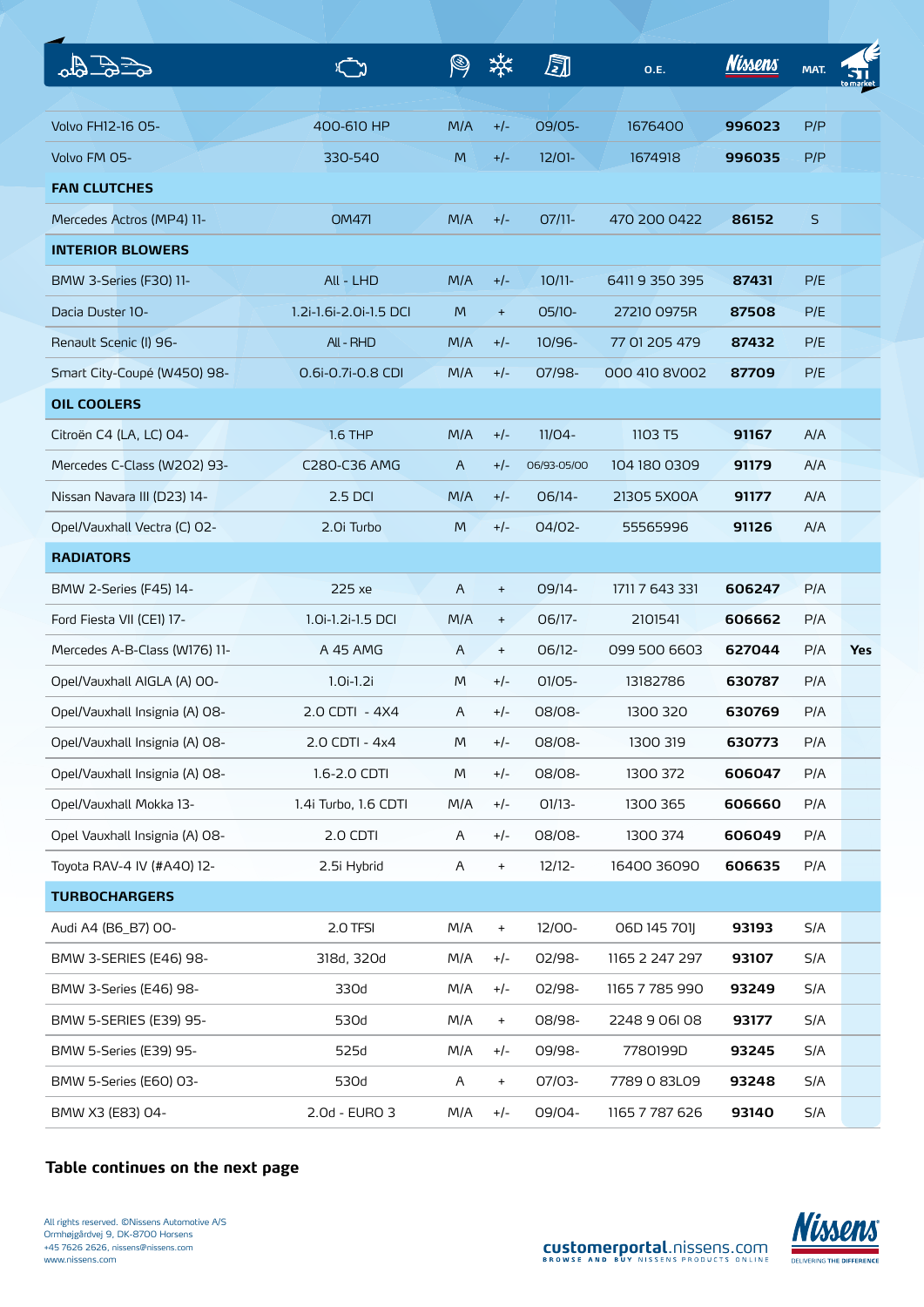<span id="page-1-0"></span>

|                                |                        |                |                                  | ā           | <b>O.E.</b>    | <b>Nissens</b> | MAT. |            |
|--------------------------------|------------------------|----------------|----------------------------------|-------------|----------------|----------------|------|------------|
|                                |                        |                |                                  |             |                |                |      |            |
| Volvo FH12-16 05-              | 400-610 HP             | M/A            | $+/-$                            | 09/05-      | 1676400        | 996023         | P/P  |            |
| Volvo FM 05-                   | 330-540                | M              | $+/-$                            | $12/01 -$   | 1674918        | 996035         | P/P  |            |
| <b>FAN CLUTCHES</b>            |                        |                |                                  |             |                |                |      |            |
| Mercedes Actros (MP4) 11-      | <b>OM471</b>           | M/A            | $+/-$                            | $O7/11-$    | 470 200 0422   | 86152          | S    |            |
| <b>INTERIOR BLOWERS</b>        |                        |                |                                  |             |                |                |      |            |
| BMW 3-Series (F30) 11-         | All - LHD              | M/A            | $+/-$                            | $10/11$ -   | 64119350395    | 87431          | P/E  |            |
| Dacia Duster 10-               | 1.2i-1.6i-2.0i-1.5 DCI | M              | $\begin{array}{c} + \end{array}$ | 05/10-      | 27210 0975R    | 87508          | P/E  |            |
| Renault Scenic (I) 96-         | All - RHD              | M/A            | $+/-$                            | $10/96 -$   | 77 01 205 479  | 87432          | P/E  |            |
| Smart City-Coupé (W450) 98-    | 0.6i-0.7i-0.8 CDI      | M/A            | $+/-$                            | 07/98-      | 000 410 8V002  | 87709          | P/E  |            |
| <b>OIL COOLERS</b>             |                        |                |                                  |             |                |                |      |            |
| Citroën C4 (LA, LC) 04-        | <b>1.6 THP</b>         | M/A            | $+/-$                            | $11/04 -$   | 1103 T5        | 91167          | A/A  |            |
| Mercedes C-Class (W202) 93-    | C280-C36 AMG           | A              | $+/-$                            | 06/93-05/00 | 104 180 0309   | 91179          | A/A  |            |
| Nissan Navara III (D23) 14-    | 2.5 DCI                | M/A            | $+/-$                            | 06/14-      | 21305 5X00A    | 91177          | A/A  |            |
| Opel/Vauxhall Vectra (C) 02-   | 2.0i Turbo             | M              | $+/-$                            | 04/02-      | 55565996       | 91126          | A/A  |            |
| <b>RADIATORS</b>               |                        |                |                                  |             |                |                |      |            |
| BMW 2-Series (F45) 14-         | 225 xe                 | $\mathsf{A}$   | $\ddot{}$                        | 09/14-      | 1711 7 643 331 | 606247         | P/A  |            |
| Ford Fiesta VII (CE1) 17-      | 1.0i-1.2i-1.5 DCI      | M/A            | $\ddot{}$                        | 06/17-      | 2101541        | 606662         | P/A  |            |
| Mercedes A-B-Class (W176) 11-  | A 45 AMG               | $\overline{A}$ | $\ddot{}$                        | $06/12-$    | 099 500 6603   | 627044         | P/A  | <b>Yes</b> |
| Opel/Vauxhall AIGLA (A) OO-    | $1.0i-1.2i$            | M              | $+/-$                            | $O1/O5 -$   | 13182786       | 630787         | P/A  |            |
| Opel/Vauxhall Insignia (A) 08- | 2.0 CDTI - 4X4         | A              | $+/-$                            | 08/08-      | 1300 320       | 630769         | P/A  |            |
| Opel/Vauxhall Insignia (A) 08- | 2.0 CDTI - 4x4         | M              | $+/-$                            | 08/08-      | 1300 319       | 630773         | P/A  |            |
| Opel/Vauxhall Insignia (A) 08- | 1.6-2.0 CDTI           | M              | $+/-$                            | 08/08-      | 1300 372       | 606047         | P/A  |            |
| Opel/Vauxhall Mokka 13-        | 1.4i Turbo, 1.6 CDTI   | M/A            | $+/-$                            | 01/13-      | 1300 365       | 606660         | P/A  |            |
| Opel Vauxhall Insignia (A) O8- | 2.0 CDTI               | A              | $+/-$                            | 08/08-      | 1300 374       | 606049         | P/A  |            |
| Toyota RAV-4 IV (#A40) 12-     | 2.5i Hybrid            | A              | $\begin{array}{c} + \end{array}$ | $12/12-$    | 16400 36090    | 606635         | P/A  |            |
| <b>TURBOCHARGERS</b>           |                        |                |                                  |             |                |                |      |            |
| Audi A4 (B6_B7) 00-            | 2.0 TFSI               | M/A            | $\bf{+}$                         | 12/00-      | 06D 145 701J   | 93193          | S/A  |            |
| BMW 3-SERIES (E46) 98-         | 318d, 320d             | M/A            | $+/-$                            | 02/98-      | 1165 2 247 297 | 93107          | S/A  |            |
| BMW 3-Series (E46) 98-         | 330d                   | M/A            | $+/-$                            | 02/98-      | 1165 7 785 990 | 93249          | S/A  |            |
| BMW 5-SERIES (E39) 95-         | 530d                   | M/A            | $+$                              | 08/98-      | 2248 9 06 08   | 93177          | S/A  |            |
| BMW 5-Series (E39) 95-         | 525d                   | M/A            | $+/-$                            | 09/98-      | 7780199D       | 93245          | S/A  |            |
| BMW 5-Series (E60) 03-         | 530d                   | A              | $\begin{array}{c} + \end{array}$ | 07/03-      | 7789 0 83L09   | 93248          | S/A  |            |
| BMW X3 (E83) 04-               | 2.0d - EURO 3          | M/A            | $+/-$                            | 09/04-      | 1165 7 787 626 | 93140          | S/A  |            |

## **Table continues on the next page**